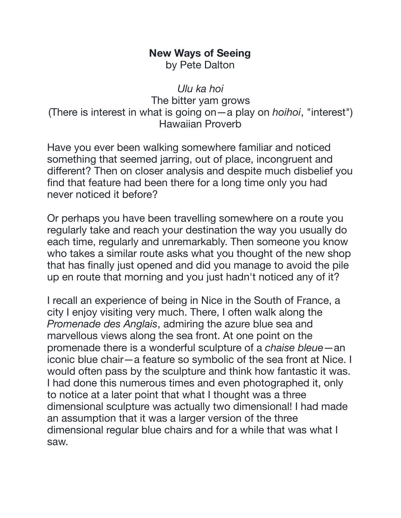## **New Ways of Seeing**  by Pete Dalton

*Ulu ka hoi*  The bitter yam grows (There is interest in what is going on—a play on *hoihoi*, "interest") Hawaiian Proverb

Have you ever been walking somewhere familiar and noticed something that seemed jarring, out of place, incongruent and different? Then on closer analysis and despite much disbelief you find that feature had been there for a long time only you had never noticed it before?

Or perhaps you have been travelling somewhere on a route you regularly take and reach your destination the way you usually do each time, regularly and unremarkably. Then someone you know who takes a similar route asks what you thought of the new shop that has finally just opened and did you manage to avoid the pile up en route that morning and you just hadn't noticed any of it?

I recall an experience of being in Nice in the South of France, a city I enjoy visiting very much. There, I often walk along the *Promenade des Anglais*, admiring the azure blue sea and marvellous views along the sea front. At one point on the promenade there is a wonderful sculpture of a *chaise bleue*—an iconic blue chair—a feature so symbolic of the sea front at Nice. I would often pass by the sculpture and think how fantastic it was. I had done this numerous times and even photographed it, only to notice at a later point that what I thought was a three dimensional sculpture was actually two dimensional! I had made an assumption that it was a larger version of the three dimensional regular blue chairs and for a while that was what I saw.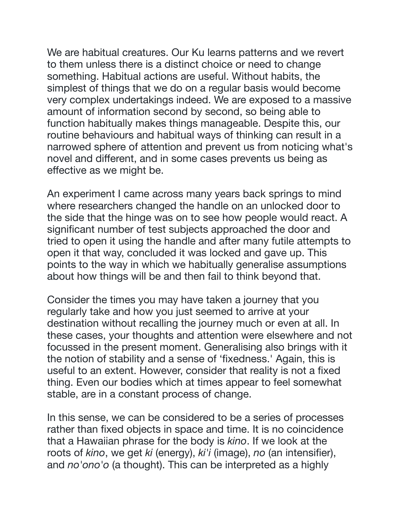We are habitual creatures. Our Ku learns patterns and we revert to them unless there is a distinct choice or need to change something. Habitual actions are useful. Without habits, the simplest of things that we do on a regular basis would become very complex undertakings indeed. We are exposed to a massive amount of information second by second, so being able to function habitually makes things manageable. Despite this, our routine behaviours and habitual ways of thinking can result in a narrowed sphere of attention and prevent us from noticing what's novel and different, and in some cases prevents us being as effective as we might be.

An experiment I came across many years back springs to mind where researchers changed the handle on an unlocked door to the side that the hinge was on to see how people would react. A significant number of test subjects approached the door and tried to open it using the handle and after many futile attempts to open it that way, concluded it was locked and gave up. This points to the way in which we habitually generalise assumptions about how things will be and then fail to think beyond that.

Consider the times you may have taken a journey that you regularly take and how you just seemed to arrive at your destination without recalling the journey much or even at all. In these cases, your thoughts and attention were elsewhere and not focussed in the present moment. Generalising also brings with it the notion of stability and a sense of 'fixedness.' Again, this is useful to an extent. However, consider that reality is not a fixed thing. Even our bodies which at times appear to feel somewhat stable, are in a constant process of change.

In this sense, we can be considered to be a series of processes rather than fixed objects in space and time. It is no coincidence that a Hawaiian phrase for the body is *kino*. If we look at the roots of *kino*, we get *ki* (energy), *ki'i* (image), *no* (an intensifier), and *no'ono'o* (a thought). This can be interpreted as a highly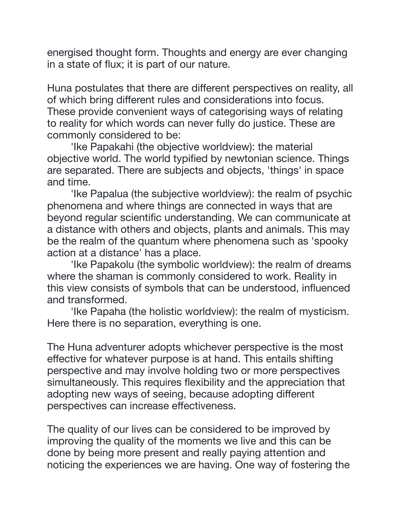energised thought form. Thoughts and energy are ever changing in a state of flux; it is part of our nature.

Huna postulates that there are different perspectives on reality, all of which bring different rules and considerations into focus. These provide convenient ways of categorising ways of relating to reality for which words can never fully do justice. These are commonly considered to be:

'Ike Papakahi (the objective worldview): the material objective world. The world typified by newtonian science. Things are separated. There are subjects and objects, 'things' in space and time.

'Ike Papalua (the subjective worldview): the realm of psychic phenomena and where things are connected in ways that are beyond regular scientific understanding. We can communicate at a distance with others and objects, plants and animals. This may be the realm of the quantum where phenomena such as 'spooky action at a distance' has a place.

'Ike Papakolu (the symbolic worldview): the realm of dreams where the shaman is commonly considered to work. Reality in this view consists of symbols that can be understood, influenced and transformed.

'Ike Papaha (the holistic worldview): the realm of mysticism. Here there is no separation, everything is one.

The Huna adventurer adopts whichever perspective is the most effective for whatever purpose is at hand. This entails shifting perspective and may involve holding two or more perspectives simultaneously. This requires flexibility and the appreciation that adopting new ways of seeing, because adopting different perspectives can increase effectiveness.

The quality of our lives can be considered to be improved by improving the quality of the moments we live and this can be done by being more present and really paying attention and noticing the experiences we are having. One way of fostering the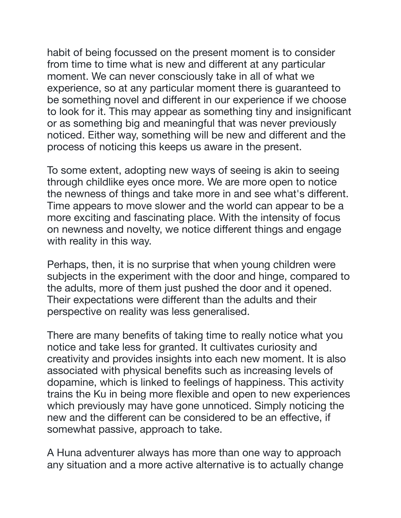habit of being focussed on the present moment is to consider from time to time what is new and different at any particular moment. We can never consciously take in all of what we experience, so at any particular moment there is guaranteed to be something novel and different in our experience if we choose to look for it. This may appear as something tiny and insignificant or as something big and meaningful that was never previously noticed. Either way, something will be new and different and the process of noticing this keeps us aware in the present.

To some extent, adopting new ways of seeing is akin to seeing through childlike eyes once more. We are more open to notice the newness of things and take more in and see what's different. Time appears to move slower and the world can appear to be a more exciting and fascinating place. With the intensity of focus on newness and novelty, we notice different things and engage with reality in this way.

Perhaps, then, it is no surprise that when young children were subjects in the experiment with the door and hinge, compared to the adults, more of them just pushed the door and it opened. Their expectations were different than the adults and their perspective on reality was less generalised.

There are many benefits of taking time to really notice what you notice and take less for granted. It cultivates curiosity and creativity and provides insights into each new moment. It is also associated with physical benefits such as increasing levels of dopamine, which is linked to feelings of happiness. This activity trains the Ku in being more flexible and open to new experiences which previously may have gone unnoticed. Simply noticing the new and the different can be considered to be an effective, if somewhat passive, approach to take.

A Huna adventurer always has more than one way to approach any situation and a more active alternative is to actually change